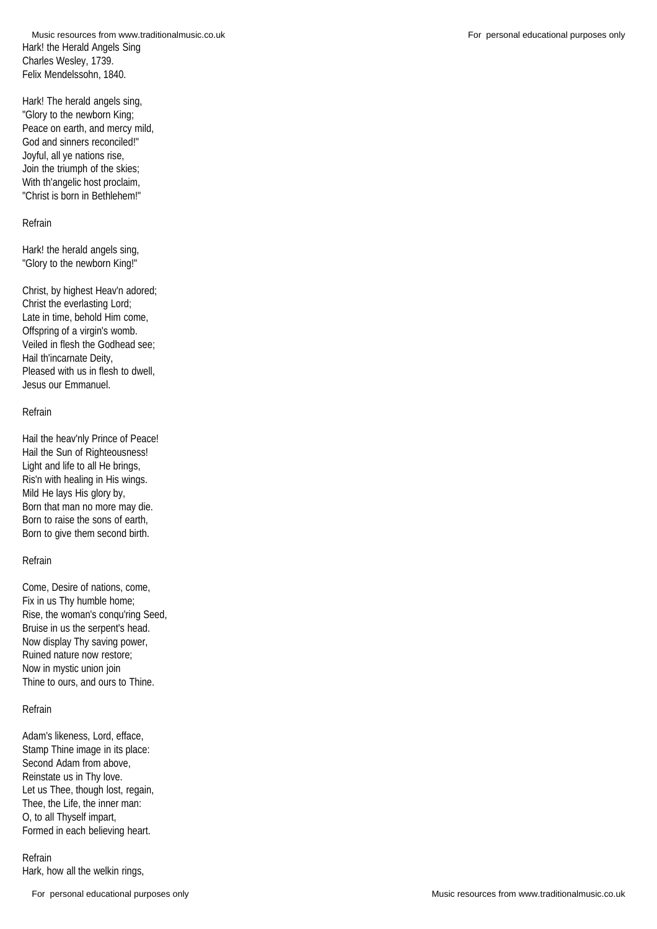Hark! the Herald Angels Sing Charles Wesley, 1739. Felix Mendelssohn, 1840. Music resources from www.traditionalmusic.co.uk **For personal educational purposes only** For personal educational purposes only

Hark! The herald angels sing, "Glory to the newborn King; Peace on earth, and mercy mild, God and sinners reconciled!" Joyful, all ye nations rise, Join the triumph of the skies; With th'angelic host proclaim, "Christ is born in Bethlehem!"

### Refrain

Hark! the herald angels sing, "Glory to the newborn King!"

Christ, by highest Heav'n adored; Christ the everlasting Lord; Late in time, behold Him come, Offspring of a virgin's womb. Veiled in flesh the Godhead see; Hail th'incarnate Deity, Pleased with us in flesh to dwell, Jesus our Emmanuel.

#### Refrain

Hail the heav'nly Prince of Peace! Hail the Sun of Righteousness! Light and life to all He brings, Ris'n with healing in His wings. Mild He lays His glory by, Born that man no more may die. Born to raise the sons of earth, Born to give them second birth.

# Refrain

Come, Desire of nations, come, Fix in us Thy humble home; Rise, the woman's conqu'ring Seed, Bruise in us the serpent's head. Now display Thy saving power, Ruined nature now restore; Now in mystic union join Thine to ours, and ours to Thine.

# Refrain

Adam's likeness, Lord, efface, Stamp Thine image in its place: Second Adam from above, Reinstate us in Thy love. Let us Thee, though lost, regain, Thee, the Life, the inner man: O, to all Thyself impart, Formed in each believing heart.

#### Refrain

Hark, how all the welkin rings,